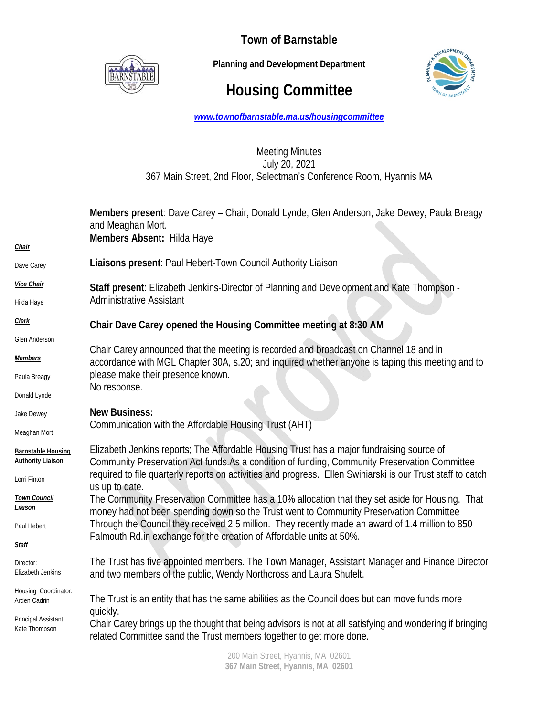

**Town of Barnstable** 

 **Planning and Development Department**

# **Housing Committee**



*www.townofbarnstable.ma.us/housingcommittee*

## Meeting Minutes July 20, 2021 367 Main Street, 2nd Floor, Selectman's Conference Room, Hyannis MA

|                                          | Members present: Dave Carey - Chair, Donald Lynde, Glen Anderson, Jake Dewey, Paula Breagy<br>and Meaghan Mort.<br>Members Absent: Hilda Haye                                                               |
|------------------------------------------|-------------------------------------------------------------------------------------------------------------------------------------------------------------------------------------------------------------|
| Chair                                    |                                                                                                                                                                                                             |
| Dave Carey                               | Liaisons present: Paul Hebert-Town Council Authority Liaison                                                                                                                                                |
| Vice Chair                               | Staff present: Elizabeth Jenkins-Director of Planning and Development and Kate Thompson -                                                                                                                   |
| Hilda Haye                               | <b>Administrative Assistant</b>                                                                                                                                                                             |
| <b>Clerk</b>                             | Chair Dave Carey opened the Housing Committee meeting at 8:30 AM                                                                                                                                            |
| Glen Anderson                            |                                                                                                                                                                                                             |
| <u>Members</u>                           | Chair Carey announced that the meeting is recorded and broadcast on Channel 18 and in<br>accordance with MGL Chapter 30A, s.20; and inquired whether anyone is taping this meeting and to                   |
| Paula Breagy                             | please make their presence known.                                                                                                                                                                           |
| Donald Lynde                             | No response.                                                                                                                                                                                                |
| Jake Dewey                               | <b>New Business:</b><br>Communication with the Affordable Housing Trust (AHT)                                                                                                                               |
| Meaghan Mort                             |                                                                                                                                                                                                             |
| <b>Barnstable Housing</b>                | Elizabeth Jenkins reports; The Affordable Housing Trust has a major fundraising source of                                                                                                                   |
| <b>Authority Liaison</b><br>Lorri Finton | Community Preservation Act funds.As a condition of funding, Community Preservation Committee<br>required to file quarterly reports on activities and progress. Ellen Swiniarski is our Trust staff to catch |
| <b>Town Council</b><br>Liaison           | us up to date.<br>The Community Preservation Committee has a 10% allocation that they set aside for Housing. That<br>money had not been spending down so the Trust went to Community Preservation Committee |
| Paul Hebert                              | Through the Council they received 2.5 million. They recently made an award of 1.4 million to 850                                                                                                            |
| <b>Staff</b>                             | Falmouth Rd.in exchange for the creation of Affordable units at 50%.                                                                                                                                        |
| Director:                                | The Trust has five appointed members. The Town Manager, Assistant Manager and Finance Director                                                                                                              |
| Elizabeth Jenkins                        | and two members of the public, Wendy Northcross and Laura Shufelt.                                                                                                                                          |
| Housing Coordinator:<br>Arden Cadrin     | The Trust is an entity that has the same abilities as the Council does but can move funds more                                                                                                              |
| Principal Assistant:<br>Kate Thomnson    | quickly.<br>Chair Carey brings up the thought that being advisors is not at all satisfying and wondering if bringing<br>related Committee sand the Trust members together to get more done.                 |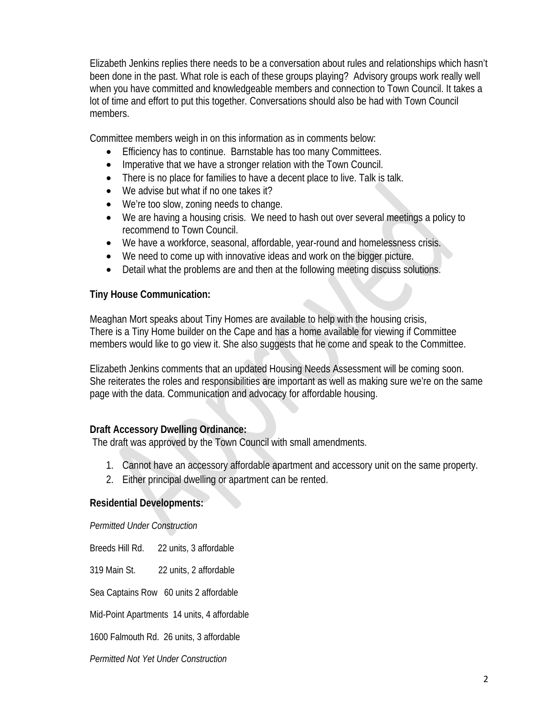Elizabeth Jenkins replies there needs to be a conversation about rules and relationships which hasn't been done in the past. What role is each of these groups playing? Advisory groups work really well when you have committed and knowledgeable members and connection to Town Council. It takes a lot of time and effort to put this together. Conversations should also be had with Town Council members.

Committee members weigh in on this information as in comments below:

- Efficiency has to continue. Barnstable has too many Committees.
- Imperative that we have a stronger relation with the Town Council.
- There is no place for families to have a decent place to live. Talk is talk.
- We advise but what if no one takes it?
- We're too slow, zoning needs to change.
- We are having a housing crisis. We need to hash out over several meetings a policy to recommend to Town Council.
- We have a workforce, seasonal, affordable, year-round and homelessness crisis.
- We need to come up with innovative ideas and work on the bigger picture.
- Detail what the problems are and then at the following meeting discuss solutions.

## **Tiny House Communication:**

Meaghan Mort speaks about Tiny Homes are available to help with the housing crisis, There is a Tiny Home builder on the Cape and has a home available for viewing if Committee members would like to go view it. She also suggests that he come and speak to the Committee.

Elizabeth Jenkins comments that an updated Housing Needs Assessment will be coming soon. She reiterates the roles and responsibilities are important as well as making sure we're on the same page with the data. Communication and advocacy for affordable housing.

# **Draft Accessory Dwelling Ordinance:**

The draft was approved by the Town Council with small amendments.

- 1. Cannot have an accessory affordable apartment and accessory unit on the same property.
- 2. Either principal dwelling or apartment can be rented.

#### **Residential Developments:**

*Permitted Under Construction* 

Breeds Hill Rd. 22 units, 3 affordable

319 Main St. 22 units, 2 affordable

Sea Captains Row 60 units 2 affordable

Mid-Point Apartments 14 units, 4 affordable

1600 Falmouth Rd. 26 units, 3 affordable

*Permitted Not Yet Under Construction*